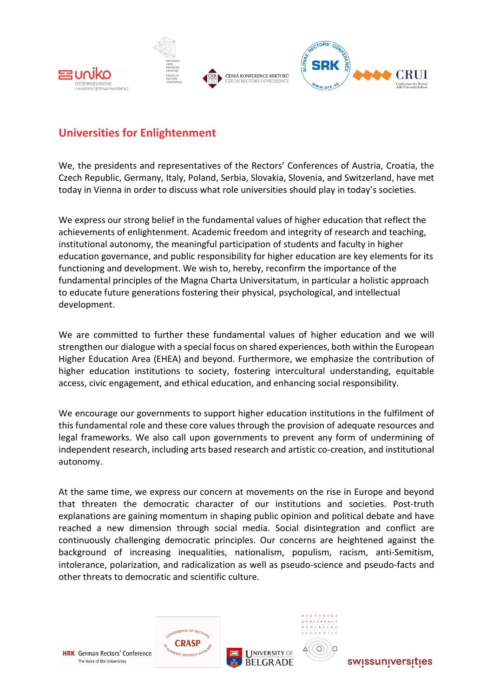

## **Universities for Enlightenment**

We, the presidents and representatives of the Rectors' Conferences of Austria, Croatia, the Czech Republic, Germany, Italy, Poland, Serbia, Slovakia, Slovenia, and Switzerland, have met today in Vienna in order to discuss what role universities should play in today's societies.

We express our strong belief in the fundamental values of higher education that reflect the achievements of enlightenment. Academic freedom and integrity of research and teaching, institutional autonomy, the meaningful participation of students and faculty in higher education governance, and public responsibility for higher education are key elements for its functioning and development. We wish to, hereby, reconfirm the importance of the fundamental principles of the Magna Charta Universitatum, in particular a holistic approach to educate future generations fostering their physical, psychological, and intellectual development.

We are committed to further these fundamental values of higher education and we will strengthen our dialogue with a special focus on shared experiences, both within the European Higher Education Area (EHEA) and beyond. Furthermore, we emphasize the contribution of higher education institutions to society, fostering intercultural understanding, equitable access, civic engagement, and ethical education, and enhancing social responsibility.

We encourage our governments to support higher education institutions in the fulfilment of this fundamental role and these core values through the provision of adequate resources and legal frameworks. We also call upon governments to prevent any form of undermining of independent research, including arts based research and artistic co-creation, and institutional autonomy.

At the same time, we express our concern at movements on the rise in Europe and beyond that threaten the democratic character of our institutions and societies. Post-truth explanations are gaining momentum in shaping public opinion and political debate and have reached a new dimension through social media. Social disintegration and conflict are continuously challenging democratic principles. Our concerns are heightened against the background of increasing inequalities, nationalism, populism, racism, anti-Semitism, intolerance, polarization, and radicalization as well as pseudo-science and pseudo-facts and other threats to democratic and scientific culture.